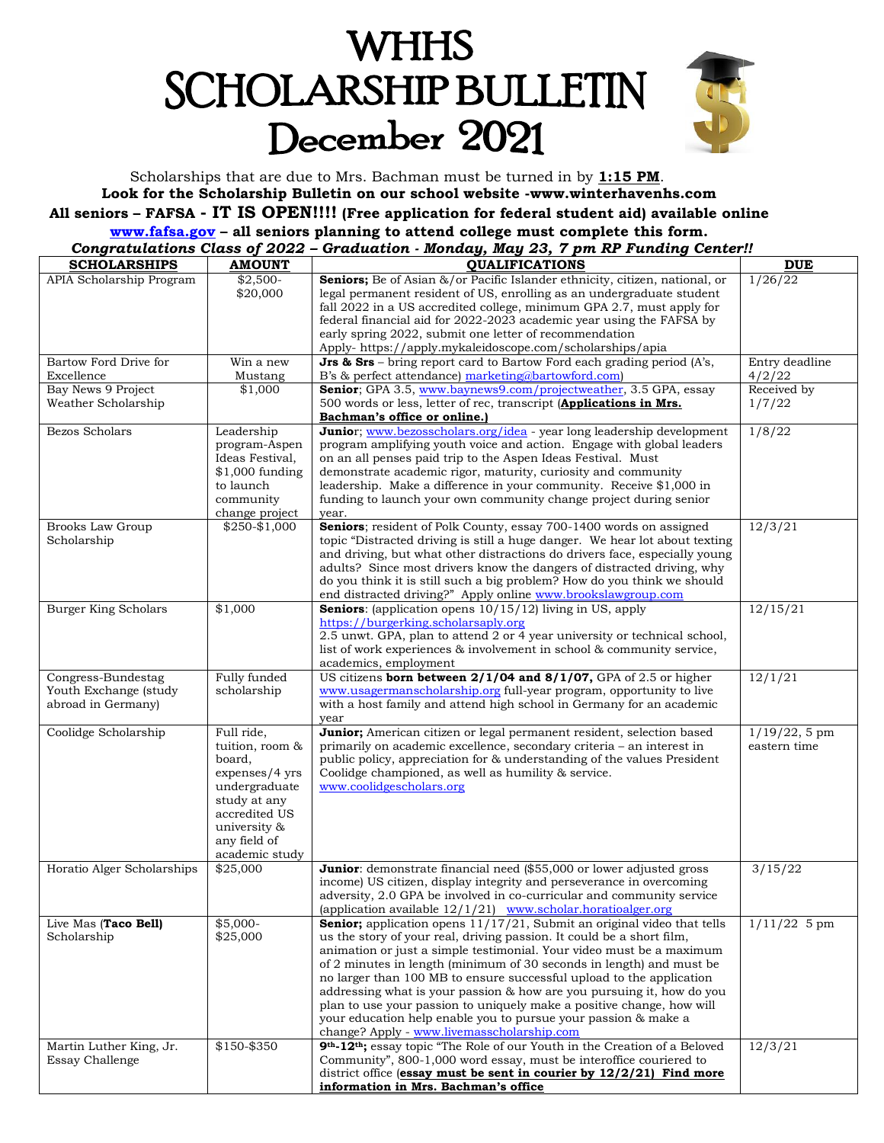# **WHHS SCHOLARSHIP BULLETIN** December 2021



Scholarships that are due to Mrs. Bachman must be turned in by **1:15 PM**. **Look for the Scholarship Bulletin on our school website -www.winterhavenhs.com All seniors – FAFSA - IT IS OPEN!!!! (Free application for federal student aid) available online [www.fafsa.gov](http://www.fafsa.gov/) – all seniors planning to attend college must complete this form.**

| Congratulations Class of 2022 - Graduation - Monday, May 23, 7 pm RP Funding Center!! |  |  |  |  |
|---------------------------------------------------------------------------------------|--|--|--|--|
|                                                                                       |  |  |  |  |

| <b>SCHOLARSHIPS</b>                                               | <b>AMOUNT</b>                                                                                                                                                 | <b>QUALIFICATIONS</b>                                                                                                                                                                                                                                                                                                                                                                                                                                                                                                                                                                                                                                | <b>DUE</b>                       |
|-------------------------------------------------------------------|---------------------------------------------------------------------------------------------------------------------------------------------------------------|------------------------------------------------------------------------------------------------------------------------------------------------------------------------------------------------------------------------------------------------------------------------------------------------------------------------------------------------------------------------------------------------------------------------------------------------------------------------------------------------------------------------------------------------------------------------------------------------------------------------------------------------------|----------------------------------|
| APIA Scholarship Program                                          | $$2,500-$<br>\$20,000                                                                                                                                         | Seniors; Be of Asian &/or Pacific Islander ethnicity, citizen, national, or<br>legal permanent resident of US, enrolling as an undergraduate student<br>fall 2022 in a US accredited college, minimum GPA 2.7, must apply for<br>federal financial aid for 2022-2023 academic year using the FAFSA by<br>early spring 2022, submit one letter of recommendation<br>Apply- https://apply.mykaleidoscope.com/scholarships/apia                                                                                                                                                                                                                         | 1/26/22                          |
| Bartow Ford Drive for<br>Excellence                               | Win a new<br>Mustang                                                                                                                                          | <b>Jrs &amp; Srs</b> – bring report card to Bartow Ford each grading period $(A's)$ ,<br>B's & perfect attendance) marketing@bartowford.com)                                                                                                                                                                                                                                                                                                                                                                                                                                                                                                         | Entry deadline<br>4/2/22         |
| Bay News 9 Project<br>Weather Scholarship                         | \$1,000                                                                                                                                                       | Senior; GPA 3.5, www.baynews9.com/projectweather, 3.5 GPA, essay<br>500 words or less, letter of rec, transcript (Applications in Mrs.<br>Bachman's office or online.)                                                                                                                                                                                                                                                                                                                                                                                                                                                                               | Received by<br>1/7/22            |
| Bezos Scholars                                                    | Leadership<br>program-Aspen<br>Ideas Festival,<br>$$1,000$ funding<br>to launch<br>community<br>change project                                                | Junior; www.bezosscholars.org/idea - year long leadership development<br>program amplifying youth voice and action. Engage with global leaders<br>on an all penses paid trip to the Aspen Ideas Festival. Must<br>demonstrate academic rigor, maturity, curiosity and community<br>leadership. Make a difference in your community. Receive \$1,000 in<br>funding to launch your own community change project during senior<br>year.                                                                                                                                                                                                                 | 1/8/22                           |
| <b>Brooks Law Group</b><br>Scholarship                            | \$250-\$1,000                                                                                                                                                 | Seniors; resident of Polk County, essay 700-1400 words on assigned<br>topic "Distracted driving is still a huge danger. We hear lot about texting<br>and driving, but what other distractions do drivers face, especially young<br>adults? Since most drivers know the dangers of distracted driving, why<br>do you think it is still such a big problem? How do you think we should<br>end distracted driving?" Apply online www.brookslawgroup.com                                                                                                                                                                                                 | $12/3/\overline{21}$             |
| <b>Burger King Scholars</b>                                       | \$1,000                                                                                                                                                       | <b>Seniors:</b> (application opens $10/15/12$ ) living in US, apply<br>https://burgerking.scholarsaply.org<br>2.5 unwt. GPA, plan to attend 2 or 4 year university or technical school,<br>list of work experiences & involvement in school & community service,<br>academics, employment                                                                                                                                                                                                                                                                                                                                                            | $\frac{12}{15/21}$               |
| Congress-Bundestag<br>Youth Exchange (study<br>abroad in Germany) | Fully funded<br>scholarship                                                                                                                                   | US citizens born between 2/1/04 and 8/1/07, GPA of 2.5 or higher<br>www.usagermanscholarship.org full-year program, opportunity to live<br>with a host family and attend high school in Germany for an academic<br>year                                                                                                                                                                                                                                                                                                                                                                                                                              | 12/1/21                          |
| Coolidge Scholarship                                              | Full ride,<br>tuition, room &<br>board,<br>expenses/4 yrs<br>undergraduate<br>study at any<br>accredited US<br>university &<br>any field of<br>academic study | Junior; American citizen or legal permanent resident, selection based<br>primarily on academic excellence, secondary criteria - an interest in<br>public policy, appreciation for & understanding of the values President<br>Coolidge championed, as well as humility & service.<br>www.coolidgescholars.org                                                                                                                                                                                                                                                                                                                                         | $1/19/22$ , 5 pm<br>eastern time |
| Horatio Alger Scholarships                                        | \$25,000                                                                                                                                                      | <b>Junior</b> : demonstrate financial need (\$55,000 or lower adjusted gross<br>income) US citizen, display integrity and perseverance in overcoming<br>adversity, 2.0 GPA be involved in co-curricular and community service<br>(application available $12/1/21$ ) www.scholar.horatioalger.org                                                                                                                                                                                                                                                                                                                                                     | 3/15/22                          |
| Live Mas (Taco Bell)<br>Scholarship                               | $$5,000-$<br>\$25,000                                                                                                                                         | <b>Senior;</b> application opens $11/17/21$ , Submit an original video that tells<br>us the story of your real, driving passion. It could be a short film,<br>animation or just a simple testimonial. Your video must be a maximum<br>of 2 minutes in length (minimum of 30 seconds in length) and must be<br>no larger than 100 MB to ensure successful upload to the application<br>addressing what is your passion & how are you pursuing it, how do you<br>plan to use your passion to uniquely make a positive change, how will<br>your education help enable you to pursue your passion & make a<br>change? Apply - www.livemasscholarship.com | $1/11/22$ 5 pm                   |
| Martin Luther King, Jr.<br>Essay Challenge                        | \$150-\$350                                                                                                                                                   | 9 <sup>th</sup> -12 <sup>th</sup> ; essay topic "The Role of our Youth in the Creation of a Beloved<br>Community", 800-1,000 word essay, must be interoffice couriered to<br>district office (essay must be sent in courier by $12/2/21$ ) Find more<br>information in Mrs. Bachman's office                                                                                                                                                                                                                                                                                                                                                         | 12/3/21                          |